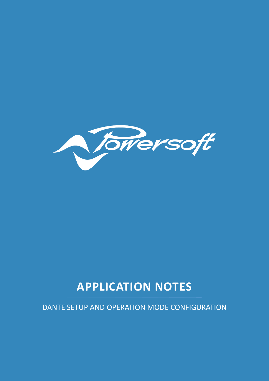

# **APPLICATION NOTES**

DANTE SETUP AND OPERATION MODE CONFIGURATION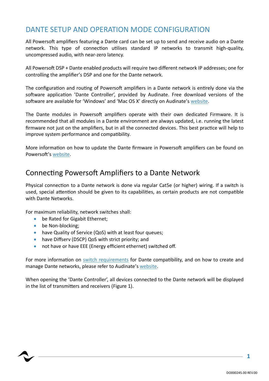# DANTE SETUP AND OPERATION MODE CONFIGURATION

All Powersoft amplifiers featuring a Dante card can be set up to send and receive audio on a Dante network. This type of connection utilises standard IP networks to transmit high-quality, uncompressed audio, with near-zero latency.

All Powersoft DSP + Dante enabled products will require two different network IP addresses; one for controlling the amplifier's DSP and one for the Dante network.

The configuration and routing of Powersoft amplifiers in a Dante network is entirely done via the software application 'Dante Controller', provided by Audinate. Free download versions of the software are available for 'Windows' and 'Mac OS X' directly on Audinate'[s website.](https://www.audinate.com/products/software/dante-controller)

The Dante modules in Powersoft amplifiers operate with their own dedicated Firmware. It is recommended that all modules in a Dante environment are always updated, i.e. running the latest firmware not just on the amplifiers, but in all the connected devices. This best practice will help to improve system performance and compatibility.

More information on how to update the Dante firmware in Powersoft amplifiers can be found on Powersoft's [website.](https://armonia.powersoft.it/firmware-updating/)

### Connecting Powersoft Amplifiers to a Dante Network

Physical connection to a Dante network is done via regular Cat5e (or higher) wiring. If a switch is used, special attention should be given to its capabilities, as certain products are not compatible with Dante Networks.

For maximum reliability, network switches shall:

- be Rated for Gigabit Ethernet;
- be Non-blocking:
- have Quality of Service (QoS) with at least four queues;
- have Diffserv (DSCP) QoS with strict priority; and
- not have or have EEE (Energy efficient ethernet) switched off.

For more information on [switch requirements](https://www.audinate.com/faq-catagories/switches) for Dante compatibility, and on how to create and manage Dante networks, please refer to Audinate's [website.](https://www.audinate.com/networks-and-switches)

When opening the 'Dante Controller', all devices connected to the Dante network will be displayed in the list of transmitters and receivers (Figure 1).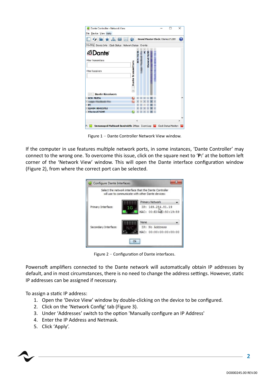| $\sim$                                                                                                             |                                        |                                               |        |        |                      |     |           | <b>Grand Master Clock: XSeries 171285</b> |  |
|--------------------------------------------------------------------------------------------------------------------|----------------------------------------|-----------------------------------------------|--------|--------|----------------------|-----|-----------|-------------------------------------------|--|
| Routing   Device Info Clock Status Network Status                                                                  |                                        |                                               | Events |        |                      |     |           |                                           |  |
| <b><i><u></u></i></b> Dante<br><b>Filter Transmitters</b><br><b>Filter Receivers</b><br>$H$ $\Box$ Dante Receivers | I Dante Transmitters<br>$\overline{+}$ | $\begin{array}{c} + \end{array}$<br>BCH-70256 | $+$    | 田<br>닢 | $+$<br>XSeries171285 | $+$ | $_{+}$    |                                           |  |
| $+8CH-70256$                                                                                                       |                                        |                                               |        |        |                      |     |           |                                           |  |
| $^{+}$                                                                                                             |                                        |                                               |        |        |                      |     |           |                                           |  |
|                                                                                                                    |                                        |                                               |        |        |                      |     | $\ddot{}$ |                                           |  |
|                                                                                                                    |                                        |                                               |        |        |                      |     |           |                                           |  |
| $+$ PC<br>$+$ 02404-00413752                                                                                       |                                        |                                               |        |        |                      |     | $\pm$     |                                           |  |
| + XSeries171285                                                                                                    |                                        |                                               |        | H.     |                      |     |           |                                           |  |

Figure 1 – Dante Controller Network View window.

If the computer in use features multiple network ports, in some instances, 'Dante Controller' may connect to the wrong one. To overcome this issue, click on the square next to '**P:**' at the bottom left corner of the 'Network View' window. This will open the Dante interface configuration window (Figure 2), from where the correct port can be selected.



Figure 2 – Configuration of Dante interfaces.

Powersoft amplifiers connected to the Dante network will automatically obtain IP addresses by default, and in most circumstances, there is no need to change the address settings. However, static IP addresses can be assigned if necessary.

To assign a static IP address:

- 1. Open the 'Device View' window by double-clicking on the device to be configured.
- 2. Click on the 'Network Config' tab (Figure 3).
- 3. Under 'Addresses' switch to the option 'Manually configure an IP Address'
- 4. Enter the IP Address and Netmask.
- 5. Click 'Apply'.

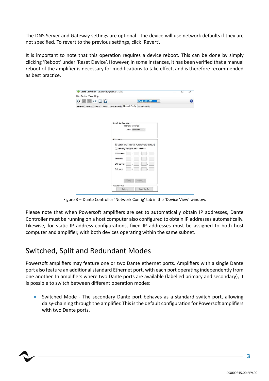The DNS Server and Gateway settings are optional - the device will use network defaults if they are not specified. To revert to the previous settings, click 'Revert'.

It is important to note that this operation requires a device reboot. This can be done by simply clicking 'Reboot' under 'Reset Device'. However, in some instances, it has been verified that a manual reboot of the amplifier is necessary for modifications to take effect, and is therefore recommended as best practice.

| File Device View Help |                                                                                        |   |
|-----------------------|----------------------------------------------------------------------------------------|---|
| a<br>$^{+}$           | <b>XSeries171285</b><br>$\vee$                                                         | Ō |
|                       | Receive Transmit Status Latency Device Config Network Config AES67 Config              |   |
|                       |                                                                                        |   |
|                       |                                                                                        |   |
|                       |                                                                                        |   |
|                       | Switch Configuration-<br>Current: Switched                                             |   |
|                       | New: Switched<br>$\overline{\phantom{a}}$                                              |   |
|                       |                                                                                        |   |
|                       | - Addresses -                                                                          |   |
|                       |                                                                                        |   |
|                       | (c) Obtain an IP Address Automatically (default)<br>◯ Manually configure an IP Address |   |
|                       | IP Address:                                                                            |   |
|                       |                                                                                        |   |
|                       | Netmask:                                                                               |   |
|                       | DNS Server:                                                                            |   |
|                       | Gateway:                                                                               |   |
|                       |                                                                                        |   |
|                       |                                                                                        |   |
|                       |                                                                                        |   |
|                       | Revert<br>Apply                                                                        |   |
|                       | -Reset Device -                                                                        |   |

Figure 3 – Dante Controller 'Network Config' tab in the 'Device View' window.

Please note that when Powersoft amplifiers are set to automatically obtain IP addresses, Dante Controller must be running on a host computer also configured to obtain IP addresses automatically. Likewise, for static IP address configurations, fixed IP addresses must be assigned to both host computer and amplifier, with both devices operating within the same subnet.

# Switched, Split and Redundant Modes

Powersoft amplifiers may feature one or two Dante ethernet ports. Amplifiers with a single Dante port also feature an additional standard Ethernet port, with each port operating independently from one another. In amplifiers where two Dante ports are available (labelled primary and secondary), it is possible to switch between different operation modes:

• Switched Mode - The secondary Dante port behaves as a standard switch port, allowing daisy-chaining through the amplifier. This is the default configuration for Powersoft amplifiers with two Dante ports.

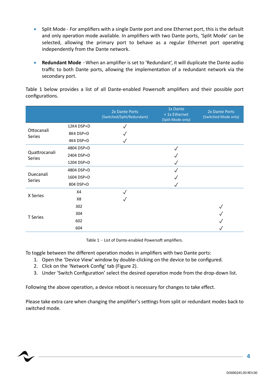- Split Mode For amplifiers with a single Dante port and one Ethernet port, this is the default and only operation mode available. In amplifiers with two Dante ports, 'Split Mode' can be selected, allowing the primary port to behave as a regular Ethernet port operating independently from the Dante network.
- **Redundant Mode** –When an amplifier is set to 'Redundant', it will duplicate the Dante audio traffic to both Dante ports, allowing the implementation of a redundant network via the secondary port.

Table 1 below provides a list of all Dante-enabled Powersoft amplifiers and their possible port configurations.

|                         |            | 2x Dante Ports<br>(Switched/Split/Redundant) | 1x Dante<br>+ 1x Ethernet<br>(Split Mode only) | 2x Dante Ports<br>(Switched Mode only) |
|-------------------------|------------|----------------------------------------------|------------------------------------------------|----------------------------------------|
| Ottocanali<br>Series    | 12K4 DSP+D |                                              |                                                |                                        |
|                         | 8K4 DSP+D  |                                              |                                                |                                        |
|                         | 4K4 DSP+D  |                                              |                                                |                                        |
| Quattrocanali<br>Series | 4804 DSP+D |                                              |                                                |                                        |
|                         | 2404 DSP+D |                                              |                                                |                                        |
|                         | 1204 DSP+D |                                              |                                                |                                        |
| Duecanali<br>Series     | 4804 DSP+D |                                              |                                                |                                        |
|                         | 1604 DSP+D |                                              |                                                |                                        |
|                         | 804 DSP+D  |                                              |                                                |                                        |
| X Series                | X4         |                                              |                                                |                                        |
|                         | X8         |                                              |                                                |                                        |
| <b>T</b> Series         | 302        |                                              |                                                |                                        |
|                         | 304        |                                              |                                                |                                        |
|                         | 602        |                                              |                                                |                                        |
|                         | 604        |                                              |                                                |                                        |

Table 1 – List of Dante-enabled Powersoft amplifiers.

To toggle between the different operation modes in amplifiers with two Dante ports:

1. Open the 'Device View' window by double-clicking on the device to be configured.

- 2. Click on the 'Network Config' tab (Figure 2).
- 3. Under 'Switch Configuration' select the desired operation mode from the drop-down list.

Following the above operation, a device reboot is necessary for changes to take effect.

Please take extra care when changing the amplifier's settings from split or redundant modes back to switched mode.

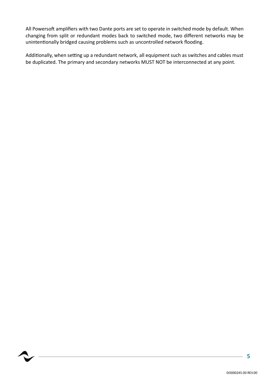All Powersoft amplifiers with two Dante ports are set to operate in switched mode by default. When changing from split or redundant modes back to switched mode, two different networks may be unintentionally bridged causing problems such as uncontrolled network flooding.

Additionally, when setting up a redundant network, all equipment such as switches and cables must be duplicated. The primary and secondary networks MUST NOT be interconnected at any point.